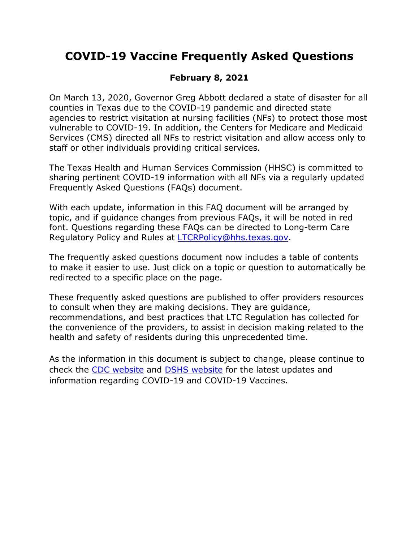# **COVID-19 Vaccine Frequently Asked Questions**

## **February 8, 2021**

On March 13, 2020, Governor Greg Abbott declared a state of disaster for all counties in Texas due to the COVID-19 pandemic and directed state agencies to restrict visitation at nursing facilities (NFs) to protect those most vulnerable to COVID-19. In addition, the Centers for Medicare and Medicaid Services (CMS) directed all NFs to restrict visitation and allow access only to staff or other individuals providing critical services.

The Texas Health and Human Services Commission (HHSC) is committed to sharing pertinent COVID-19 information with all NFs via a regularly updated Frequently Asked Questions (FAQs) document.

With each update, information in this FAQ document will be arranged by topic, and if guidance changes from previous FAQs, it will be noted in red font. Questions regarding these FAQs can be directed to Long-term Care Regulatory Policy and Rules at [LTCRPolicy@hhs.texas.gov.](mailto:LTCRPolicy@hhs.texas.gov)

The frequently asked questions document now includes a table of contents to make it easier to use. Just click on a topic or question to automatically be redirected to a specific place on the page.

These frequently asked questions are published to offer providers resources to consult when they are making decisions. They are guidance, recommendations, and best practices that LTC Regulation has collected for the convenience of the providers, to assist in decision making related to the health and safety of residents during this unprecedented time.

As the information in this document is subject to change, please continue to check the [CDC website](https://www.cdc.gov/coronavirus/2019-ncov/index.html) and [DSHS website](https://www.dshs.state.tx.us/coronavirus/) for the latest updates and information regarding COVID-19 and COVID-19 Vaccines.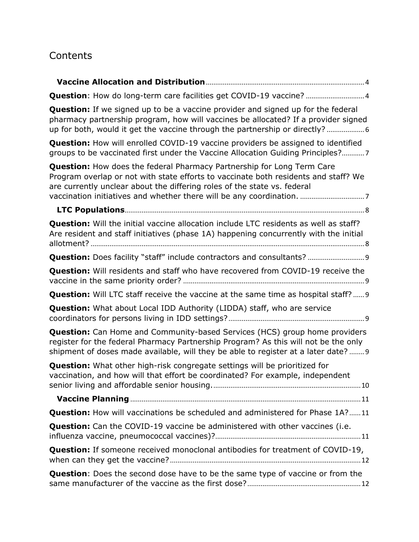# **Contents**

| Question: How do long-term care facilities get COVID-19 vaccine?  4                                                                                                                                                                                             |
|-----------------------------------------------------------------------------------------------------------------------------------------------------------------------------------------------------------------------------------------------------------------|
| <b>Question:</b> If we signed up to be a vaccine provider and signed up for the federal<br>pharmacy partnership program, how will vaccines be allocated? If a provider signed<br>up for both, would it get the vaccine through the partnership or directly?     |
| <b>Question:</b> How will enrolled COVID-19 vaccine providers be assigned to identified<br>groups to be vaccinated first under the Vaccine Allocation Guiding Principles?7                                                                                      |
| <b>Question:</b> How does the federal Pharmacy Partnership for Long Term Care<br>Program overlap or not with state efforts to vaccinate both residents and staff? We<br>are currently unclear about the differing roles of the state vs. federal                |
|                                                                                                                                                                                                                                                                 |
| Question: Will the initial vaccine allocation include LTC residents as well as staff?<br>Are resident and staff initiatives (phase 1A) happening concurrently with the initial                                                                                  |
| Question: Does facility "staff" include contractors and consultants?  9                                                                                                                                                                                         |
| <b>Question:</b> Will residents and staff who have recovered from COVID-19 receive the                                                                                                                                                                          |
| <b>Question:</b> Will LTC staff receive the vaccine at the same time as hospital staff?  9                                                                                                                                                                      |
| <b>Question:</b> What about Local IDD Authority (LIDDA) staff, who are service                                                                                                                                                                                  |
| <b>Question:</b> Can Home and Community-based Services (HCS) group home providers<br>register for the federal Pharmacy Partnership Program? As this will not be the only<br>shipment of doses made available, will they be able to register at a later date?  9 |
| <b>Question:</b> What other high-risk congregate settings will be prioritized for<br>vaccination, and how will that effort be coordinated? For example, independent                                                                                             |
|                                                                                                                                                                                                                                                                 |
| Question: How will vaccinations be scheduled and administered for Phase 1A?11                                                                                                                                                                                   |
| <b>Question:</b> Can the COVID-19 vaccine be administered with other vaccines (i.e.                                                                                                                                                                             |
| <b>Question:</b> If someone received monoclonal antibodies for treatment of COVID-19,                                                                                                                                                                           |
| <b>Question:</b> Does the second dose have to be the same type of vaccine or from the                                                                                                                                                                           |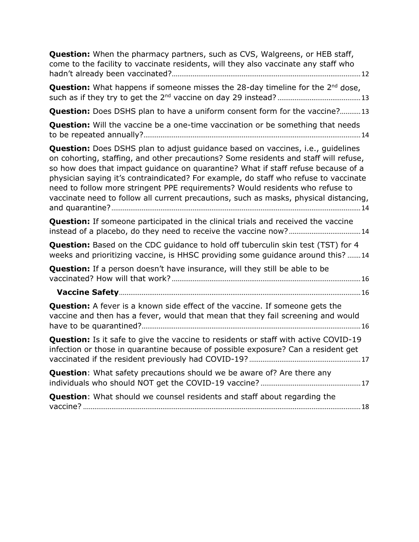| <b>Question:</b> When the pharmacy partners, such as CVS, Walgreens, or HEB staff,<br>come to the facility to vaccinate residents, will they also vaccinate any staff who                                                                                                                                                                                                                                                                                                                                                      |
|--------------------------------------------------------------------------------------------------------------------------------------------------------------------------------------------------------------------------------------------------------------------------------------------------------------------------------------------------------------------------------------------------------------------------------------------------------------------------------------------------------------------------------|
| <b>Question:</b> What happens if someone misses the 28-day timeline for the $2^{nd}$ dose,                                                                                                                                                                                                                                                                                                                                                                                                                                     |
| Question: Does DSHS plan to have a uniform consent form for the vaccine?13                                                                                                                                                                                                                                                                                                                                                                                                                                                     |
| <b>Question:</b> Will the vaccine be a one-time vaccination or be something that needs                                                                                                                                                                                                                                                                                                                                                                                                                                         |
| Question: Does DSHS plan to adjust guidance based on vaccines, i.e., guidelines<br>on cohorting, staffing, and other precautions? Some residents and staff will refuse,<br>so how does that impact guidance on quarantine? What if staff refuse because of a<br>physician saying it's contraindicated? For example, do staff who refuse to vaccinate<br>need to follow more stringent PPE requirements? Would residents who refuse to<br>vaccinate need to follow all current precautions, such as masks, physical distancing, |
| <b>Question:</b> If someone participated in the clinical trials and received the vaccine                                                                                                                                                                                                                                                                                                                                                                                                                                       |
| <b>Question:</b> Based on the CDC guidance to hold off tuberculin skin test (TST) for 4<br>weeks and prioritizing vaccine, is HHSC providing some guidance around this? 14                                                                                                                                                                                                                                                                                                                                                     |
| <b>Question:</b> If a person doesn't have insurance, will they still be able to be                                                                                                                                                                                                                                                                                                                                                                                                                                             |
|                                                                                                                                                                                                                                                                                                                                                                                                                                                                                                                                |
| <b>Question:</b> A fever is a known side effect of the vaccine. If someone gets the<br>vaccine and then has a fever, would that mean that they fail screening and would                                                                                                                                                                                                                                                                                                                                                        |
| <b>Question:</b> Is it safe to give the vaccine to residents or staff with active COVID-19<br>infection or those in quarantine because of possible exposure? Can a resident get                                                                                                                                                                                                                                                                                                                                                |
| <b>Question:</b> What safety precautions should we be aware of? Are there any                                                                                                                                                                                                                                                                                                                                                                                                                                                  |
| <b>Question:</b> What should we counsel residents and staff about regarding the                                                                                                                                                                                                                                                                                                                                                                                                                                                |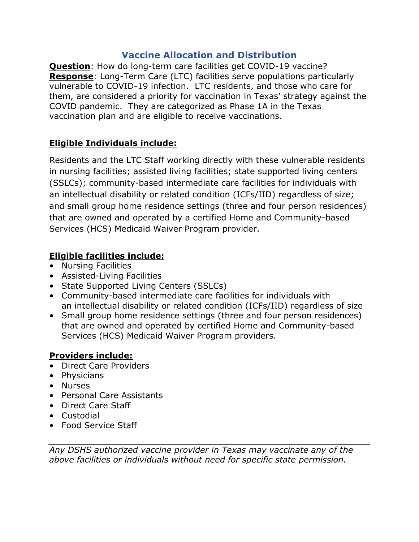## **Vaccine Allocation and Distribution**

<span id="page-3-1"></span><span id="page-3-0"></span>**Question**: How do long-term care facilities get COVID-19 vaccine? **Response**: Long-Term Care (LTC) facilities serve populations particularly vulnerable to COVID-19 infection. LTC residents, and those who care for them, are considered a priority for vaccination in Texas' strategy against the COVID pandemic. They are categorized as Phase 1A in the Texas vaccination plan and are eligible to receive vaccinations.

#### **Eligible Individuals include:**

Residents and the LTC Staff working directly with these vulnerable residents in nursing facilities; assisted living facilities; state supported living centers (SSLCs); community-based intermediate care facilities for individuals with an intellectual disability or related condition (ICFs/IID) regardless of size; and small group home residence settings (three and four person residences) that are owned and operated by a certified Home and Community-based Services (HCS) Medicaid Waiver Program provider.

#### **Eligible facilities include:**

- Nursing Facilities
- Assisted-Living Facilities
- State Supported Living Centers (SSLCs)
- Community-based intermediate care facilities for individuals with an intellectual disability or related condition (ICFs/IID) regardless of size
- Small group home residence settings (three and four person residences) that are owned and operated by certified Home and Community-based Services (HCS) Medicaid Waiver Program providers.

### **Providers include:**

- Direct Care Providers
- Physicians
- Nurses
- Personal Care Assistants
- Direct Care Staff
- Custodial
- Food Service Staff

*Any DSHS authorized vaccine provider in Texas may vaccinate any of the above facilities or individuals without need for specific state permission.*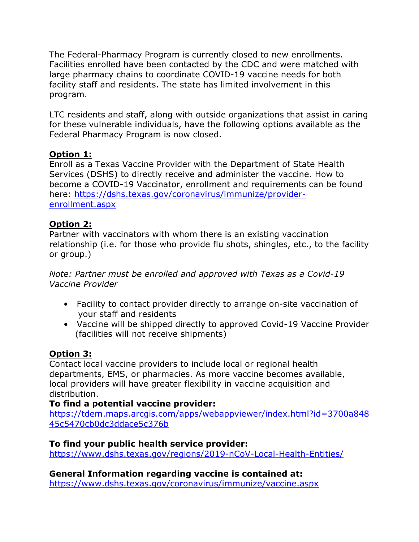The Federal-Pharmacy Program is currently closed to new enrollments. Facilities enrolled have been contacted by the CDC and were matched with large pharmacy chains to coordinate COVID-19 vaccine needs for both facility staff and residents. The state has limited involvement in this program.

LTC residents and staff, along with outside organizations that assist in caring for these vulnerable individuals, have the following options available as the Federal Pharmacy Program is now closed.

#### **Option 1:**

Enroll as a Texas Vaccine Provider with the Department of State Health Services (DSHS) to directly receive and administer the vaccine. How to become a COVID-19 Vaccinator, enrollment and requirements can be found here: [https://dshs.texas.gov/coronavirus/immunize/provider](https://dshs.texas.gov/coronavirus/immunize/provider-enrollment.aspx)[enrollment.aspx](https://dshs.texas.gov/coronavirus/immunize/provider-enrollment.aspx)

#### **Option 2:**

Partner with vaccinators with whom there is an existing vaccination relationship (i.e. for those who provide flu shots, shingles, etc., to the facility or group.)

*Note: Partner must be enrolled and approved with Texas as a Covid-19 Vaccine Provider*

- Facility to contact provider directly to arrange on-site vaccination of your staff and residents
- Vaccine will be shipped directly to approved Covid-19 Vaccine Provider (facilities will not receive shipments)

#### **Option 3:**

Contact local vaccine providers to include local or regional health departments, EMS, or pharmacies. As more vaccine becomes available, local providers will have greater flexibility in vaccine acquisition and distribution.

#### **To find a potential vaccine provider:**

[https://tdem.maps.arcgis.com/apps/webappviewer/index.html?id=3700a848](https://tdem.maps.arcgis.com/apps/webappviewer/index.html?id=3700a84845c5470cb0dc3ddace5c376b) [45c5470cb0dc3ddace5c376b](https://tdem.maps.arcgis.com/apps/webappviewer/index.html?id=3700a84845c5470cb0dc3ddace5c376b)

#### **To find your public health service provider:**

<https://www.dshs.texas.gov/regions/2019-nCoV-Local-Health-Entities/>

# **General Information regarding vaccine is contained at:**

<https://www.dshs.texas.gov/coronavirus/immunize/vaccine.aspx>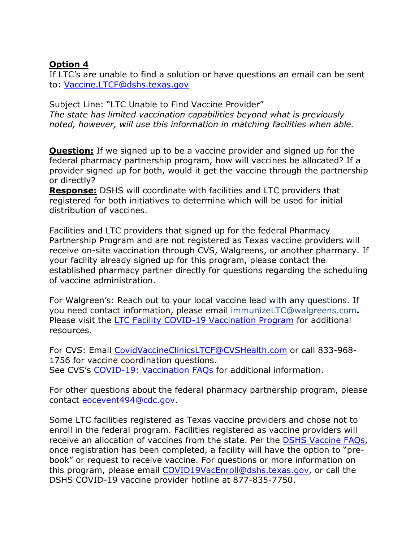#### **Option 4**

If LTC's are unable to find a solution or have questions an email can be sent to: [Vaccine.LTCF@dshs.texas.gov](mailto:Vaccine.LTCF@dshs.texas.gov)

Subject Line: "LTC Unable to Find Vaccine Provider" *The state has limited vaccination capabilities beyond what is previously noted, however, will use this information in matching facilities when able.*

<span id="page-5-0"></span>**Question:** If we signed up to be a vaccine provider and signed up for the federal pharmacy partnership program, how will vaccines be allocated? If a provider signed up for both, would it get the vaccine through the partnership or directly?

**Response:** DSHS will coordinate with facilities and LTC providers that registered for both initiatives to determine which will be used for initial distribution of vaccines.

Facilities and LTC providers that signed up for the federal Pharmacy Partnership Program and are not registered as Texas vaccine providers will receive on-site vaccination through CVS, Walgreens, or another pharmacy. If your facility already signed up for this program, please contact the established pharmacy partner directly for questions regarding the scheduling of vaccine administration.

For Walgreen's: Reach out to your local vaccine lead with any questions. If you need contact information, please email [immunizeLTC@walgreens.com](mailto:immunizeLTC@walgreens.com)**.** Please visit the [LTC Facility COVID-19 Vaccination Program](https://www.walgreens.com/topic/findcare/long-term-care-facility-covid-vaccine.jsp) for additional resources.

For CVS: Email [CovidVaccineClinicsLTCF@CVSHealth.com](mailto:CovidVaccineClinicsLTCF@CVSHealth.com) or call 833-968- 1756 for vaccine coordination questions. See CVS's [COVID-19: Vaccination FAQs](https://cvshealth.com/covid-19/vaccine-faq) for additional information.

For other questions about the federal pharmacy partnership program, please contact [eocevent494@cdc.gov.](mailto:eocevent494@cdc.gov)

Some LTC facilities registered as Texas vaccine providers and chose not to enroll in the federal program. Facilities registered as vaccine providers will receive an allocation of vaccines from the state. Per the **DSHS Vaccine FAQs**, once registration has been completed, a facility will have the option to "prebook" or request to receive vaccine. For questions or more information on this program, please email [COVID19VacEnroll@dshs.texas.gov,](mailto:COVID19VacEnroll@dshs.texas.gov) or call the DSHS COVID-19 vaccine provider hotline at 877-835-7750.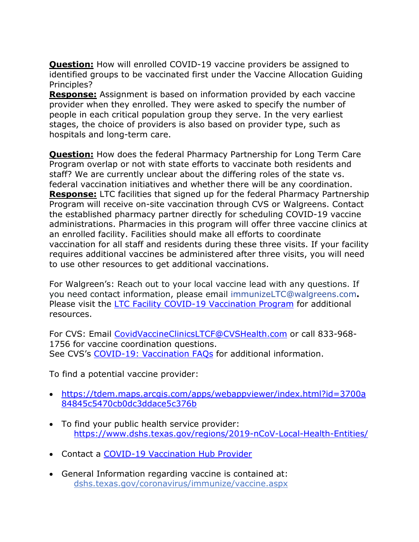<span id="page-6-0"></span>**Question:** How will enrolled COVID-19 vaccine providers be assigned to identified groups to be vaccinated first under the Vaccine Allocation Guiding Principles?

**Response:** Assignment is based on information provided by each vaccine provider when they enrolled. They were asked to specify the number of people in each critical population group they serve. In the very earliest stages, the choice of providers is also based on provider type, such as hospitals and long-term care.

<span id="page-6-1"></span>**Question:** How does the federal Pharmacy Partnership for Long Term Care Program overlap or not with state efforts to vaccinate both residents and staff? We are currently unclear about the differing roles of the state vs. federal vaccination initiatives and whether there will be any coordination. **Response:** LTC facilities that signed up for the federal Pharmacy Partnership Program will receive on-site vaccination through CVS or Walgreens. Contact the established pharmacy partner directly for scheduling COVID-19 vaccine administrations. Pharmacies in this program will offer three vaccine clinics at an enrolled facility. Facilities should make all efforts to coordinate vaccination for all staff and residents during these three visits. If your facility requires additional vaccines be administered after three visits, you will need to use other resources to get additional vaccinations.

For Walgreen's: Reach out to your local vaccine lead with any questions. If you need contact information, please email [immunizeLTC@walgreens.com](mailto:immunizeLTC@walgreens.com)**.** Please visit the **LTC Facility COVID-19 Vaccination Program** for additional resources.

For CVS: Email [CovidVaccineClinicsLTCF@CVSHealth.com](mailto:CovidVaccineClinicsLTCF@CVSHealth.com) or call 833-968- 1756 for vaccine coordination questions. See CVS's [COVID-19: Vaccination FAQs](https://cvshealth.com/covid-19/vaccine-faq) for additional information.

To find a potential vaccine provider:

- [https://tdem.maps.arcgis.com/apps/webappviewer/index.html?id=3700a](https://tdem.maps.arcgis.com/apps/webappviewer/index.html?id=3700a84845c5470cb0dc3ddace5c376b) [84845c5470cb0dc3ddace5c376b](https://tdem.maps.arcgis.com/apps/webappviewer/index.html?id=3700a84845c5470cb0dc3ddace5c376b)
- To find your public health service provider: <https://www.dshs.texas.gov/regions/2019-nCoV-Local-Health-Entities/>
- Contact a [COVID-19 Vaccination Hub Provider](https://www.dshs.state.tx.us/coronavirus/immunize/vaccine-hubs.aspx)
- General Information regarding vaccine is contained at: dshs.texas.gov/coronavirus/immunize/vaccine.aspx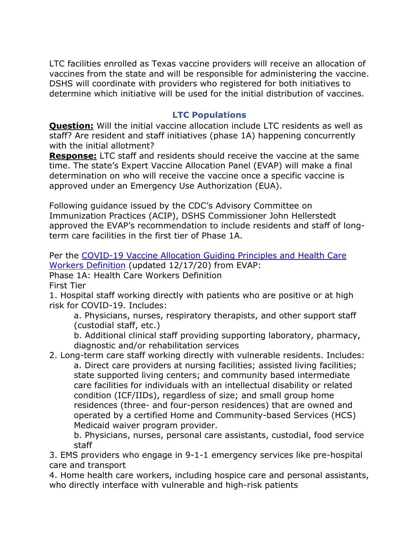LTC facilities enrolled as Texas vaccine providers will receive an allocation of vaccines from the state and will be responsible for administering the vaccine. DSHS will coordinate with providers who registered for both initiatives to determine which initiative will be used for the initial distribution of vaccines.

#### **LTC Populations**

<span id="page-7-1"></span><span id="page-7-0"></span>**Question:** Will the initial vaccine allocation include LTC residents as well as staff? Are resident and staff initiatives (phase 1A) happening concurrently with the initial allotment?

**Response:** LTC staff and residents should receive the vaccine at the same time. The state's Expert Vaccine Allocation Panel (EVAP) will make a final determination on who will receive the vaccine once a specific vaccine is approved under an Emergency Use Authorization (EUA).

Following guidance issued by the CDC's Advisory Committee on Immunization Practices (ACIP), DSHS Commissioner John Hellerstedt approved the EVAP's recommendation to include residents and staff of longterm care facilities in the first tier of Phase 1A.

Per the [COVID-19 Vaccine Allocation Guiding Principles and Health Care](https://www.dshs.state.tx.us/immunize/covid19/COVID_Vaccine_Principles_HCW_Definition.pdf)  [Workers Definition](https://www.dshs.state.tx.us/immunize/covid19/COVID_Vaccine_Principles_HCW_Definition.pdf) (updated 12/17/20) from EVAP:

Phase 1A: Health Care Workers Definition

First Tier

1. Hospital staff working directly with patients who are positive or at high risk for COVID-19. Includes:

a. Physicians, nurses, respiratory therapists, and other support staff (custodial staff, etc.)

b. Additional clinical staff providing supporting laboratory, pharmacy, diagnostic and/or rehabilitation services

2. Long-term care staff working directly with vulnerable residents. Includes: a. Direct care providers at nursing facilities; assisted living facilities; state supported living centers; and community based intermediate care facilities for individuals with an intellectual disability or related condition (ICF/IIDs), regardless of size; and small group home residences (three- and four-person residences) that are owned and operated by a certified Home and Community-based Services (HCS) Medicaid waiver program provider.

b. Physicians, nurses, personal care assistants, custodial, food service staff

3. EMS providers who engage in 9-1-1 emergency services like pre-hospital care and transport

4. Home health care workers, including hospice care and personal assistants, who directly interface with vulnerable and high-risk patients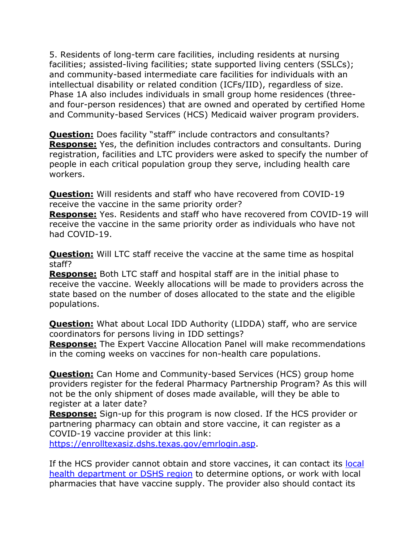5. Residents of long-term care facilities, including residents at nursing facilities; assisted-living facilities; state supported living centers (SSLCs); and community-based intermediate care facilities for individuals with an intellectual disability or related condition (ICFs/IID), regardless of size. Phase 1A also includes individuals in small group home residences (threeand four-person residences) that are owned and operated by certified Home and Community-based Services (HCS) Medicaid waiver program providers.

<span id="page-8-0"></span>**Question:** Does facility "staff" include contractors and consultants? **Response:** Yes, the definition includes contractors and consultants. During registration, facilities and LTC providers were asked to specify the number of people in each critical population group they serve, including health care workers.

<span id="page-8-1"></span>**Question:** Will residents and staff who have recovered from COVID-19 receive the vaccine in the same priority order?

**Response:** Yes. Residents and staff who have recovered from COVID-19 will receive the vaccine in the same priority order as individuals who have not had COVID-19.

<span id="page-8-2"></span>**Question:** Will LTC staff receive the vaccine at the same time as hospital staff?

**Response:** Both LTC staff and hospital staff are in the initial phase to receive the vaccine. Weekly allocations will be made to providers across the state based on the number of doses allocated to the state and the eligible populations.

<span id="page-8-3"></span>**Question:** What about Local IDD Authority (LIDDA) staff, who are service coordinators for persons living in IDD settings?

**Response:** The Expert Vaccine Allocation Panel will make recommendations in the coming weeks on vaccines for non-health care populations.

<span id="page-8-4"></span>**Question:** Can Home and Community-based Services (HCS) group home providers register for the federal Pharmacy Partnership Program? As this will not be the only shipment of doses made available, will they be able to register at a later date?

**Response:** Sign-up for this program is now closed. If the HCS provider or partnering pharmacy can obtain and store vaccine, it can register as a COVID-19 vaccine provider at this link:

[https://enrolltexasiz.dshs.texas.gov/emrlogin.asp.](https://enrolltexasiz.dshs.texas.gov/emrlogin.asp)

If the HCS provider cannot obtain and store vaccines, it can contact its local [health department or DSHS region](https://www.dshs.texas.gov/regions/2019-nCoV-Local-Health-Entities/) to determine options, or work with local pharmacies that have vaccine supply. The provider also should contact its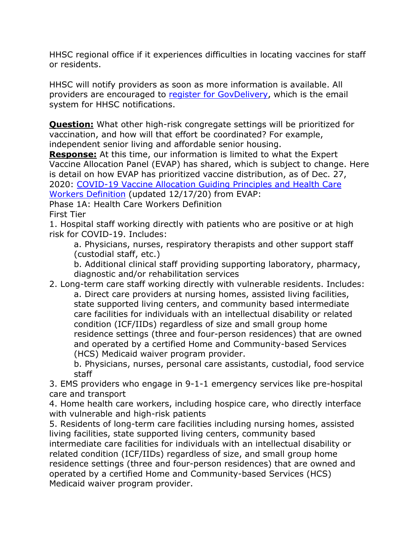HHSC regional office if it experiences difficulties in locating vaccines for staff or residents.

HHSC will notify providers as soon as more information is available. All providers are encouraged to [register for GovDelivery,](https://public.govdelivery.com/accounts/txhhsc/subscriber/new) which is the email system for HHSC notifications.

<span id="page-9-0"></span>**Question:** What other high-risk congregate settings will be prioritized for vaccination, and how will that effort be coordinated? For example, independent senior living and affordable senior housing.

**Response:** At this time, our information is limited to what the Expert Vaccine Allocation Panel (EVAP) has shared, which is subject to change. Here is detail on how EVAP has prioritized vaccine distribution, as of Dec. 27, 2020: [COVID-19 Vaccine Allocation Guiding Principles and Health Care](https://www.dshs.state.tx.us/immunize/covid19/COVID_Vaccine_Principles_HCW_Definition.pdf)  [Workers Definition](https://www.dshs.state.tx.us/immunize/covid19/COVID_Vaccine_Principles_HCW_Definition.pdf) (updated 12/17/20) from EVAP:

Phase 1A: Health Care Workers Definition First Tier

1. Hospital staff working directly with patients who are positive or at high risk for COVID-19. Includes:

a. Physicians, nurses, respiratory therapists and other support staff (custodial staff, etc.)

b. Additional clinical staff providing supporting laboratory, pharmacy, diagnostic and/or rehabilitation services

2. Long-term care staff working directly with vulnerable residents. Includes: a. Direct care providers at nursing homes, assisted living facilities, state supported living centers, and community based intermediate care facilities for individuals with an intellectual disability or related condition (ICF/IIDs) regardless of size and small group home residence settings (three and four-person residences) that are owned and operated by a certified Home and Community-based Services (HCS) Medicaid waiver program provider.

b. Physicians, nurses, personal care assistants, custodial, food service staff

3. EMS providers who engage in 9-1-1 emergency services like pre-hospital care and transport

4. Home health care workers, including hospice care, who directly interface with vulnerable and high-risk patients

5. Residents of long-term care facilities including nursing homes, assisted living facilities, state supported living centers, community based intermediate care facilities for individuals with an intellectual disability or related condition (ICF/IIDs) regardless of size, and small group home residence settings (three and four-person residences) that are owned and operated by a certified Home and Community-based Services (HCS) Medicaid waiver program provider.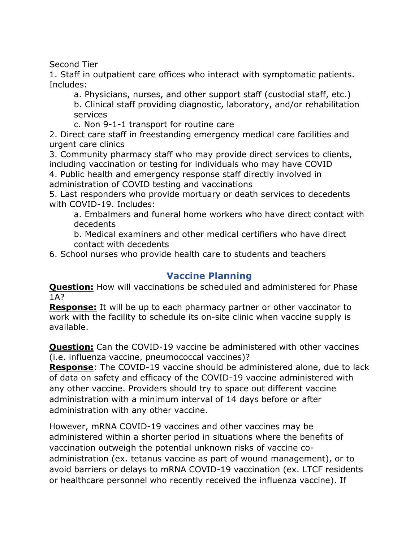Second Tier

1. Staff in outpatient care offices who interact with symptomatic patients. Includes:

a. Physicians, nurses, and other support staff (custodial staff, etc.) b. Clinical staff providing diagnostic, laboratory, and/or rehabilitation services

c. Non 9-1-1 transport for routine care

2. Direct care staff in freestanding emergency medical care facilities and urgent care clinics

3. Community pharmacy staff who may provide direct services to clients, including vaccination or testing for individuals who may have COVID

4. Public health and emergency response staff directly involved in administration of COVID testing and vaccinations

5. Last responders who provide mortuary or death services to decedents with COVID-19. Includes:

a. Embalmers and funeral home workers who have direct contact with decedents

b. Medical examiners and other medical certifiers who have direct contact with decedents

6. School nurses who provide health care to students and teachers

# **Vaccine Planning**

<span id="page-10-1"></span><span id="page-10-0"></span>**Question:** How will vaccinations be scheduled and administered for Phase 1A?

**Response:** It will be up to each pharmacy partner or other vaccinator to work with the facility to schedule its on-site clinic when vaccine supply is available.

<span id="page-10-2"></span>**Question:** Can the COVID-19 vaccine be administered with other vaccines (i.e. influenza vaccine, pneumococcal vaccines)?

**Response**: The COVID-19 vaccine should be administered alone, due to lack of data on safety and efficacy of the COVID-19 vaccine administered with any other vaccine. Providers should try to space out different vaccine administration with a minimum interval of 14 days before or after administration with any other vaccine.

However, mRNA COVID-19 vaccines and other vaccines may be administered within a shorter period in situations where the benefits of vaccination outweigh the potential unknown risks of vaccine coadministration (ex. tetanus vaccine as part of wound management), or to avoid barriers or delays to mRNA COVID-19 vaccination (ex. LTCF residents or healthcare personnel who recently received the influenza vaccine). If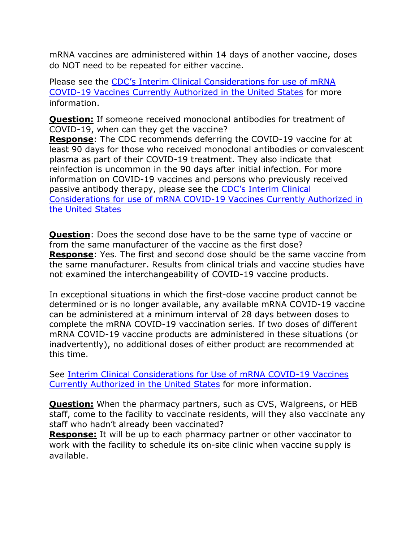mRNA vaccines are administered within 14 days of another vaccine, doses do NOT need to be repeated for either vaccine.

Please see the [CDC's Interim Clinical Considerations for use of mRNA](https://www.cdc.gov/vaccines/covid-19/info-by-product/clinical-considerations.html)  [COVID-19 Vaccines Currently Authorized in the United States](https://www.cdc.gov/vaccines/covid-19/info-by-product/clinical-considerations.html) for more information.

<span id="page-11-0"></span>**Question:** If someone received monoclonal antibodies for treatment of COVID-19, when can they get the vaccine?

**Response**: The CDC recommends deferring the COVID-19 vaccine for at least 90 days for those who received monoclonal antibodies or convalescent plasma as part of their COVID-19 treatment. They also indicate that reinfection is uncommon in the 90 days after initial infection. For more information on COVID-19 vaccines and persons who previously received passive antibody therapy, please see the [CDC's Interim Clinical](https://www.cdc.gov/vaccines/covid-19/info-by-product/clinical-considerations.html)  [Considerations for use of mRNA COVID-19 Vaccines Currently Authorized in](https://www.cdc.gov/vaccines/covid-19/info-by-product/clinical-considerations.html)  [the United States](https://www.cdc.gov/vaccines/covid-19/info-by-product/clinical-considerations.html)

<span id="page-11-1"></span>**Question**: Does the second dose have to be the same type of vaccine or from the same manufacturer of the vaccine as the first dose? **Response**: Yes. The first and second dose should be the same vaccine from the same manufacturer. Results from clinical trials and vaccine studies have not examined the interchangeability of COVID-19 vaccine products.

In exceptional situations in which the first-dose vaccine product cannot be determined or is no longer available, any available mRNA COVID-19 vaccine can be administered at a minimum interval of 28 days between doses to complete the mRNA COVID-19 vaccination series. If two doses of different mRNA COVID-19 vaccine products are administered in these situations (or inadvertently), no additional doses of either product are recommended at this time.

See [Interim Clinical Considerations for Use of mRNA COVID-19 Vaccines](https://www.cdc.gov/vaccines/covid-19/info-by-product/clinical-considerations.html)  [Currently Authorized in the United States](https://www.cdc.gov/vaccines/covid-19/info-by-product/clinical-considerations.html) for more information.

<span id="page-11-2"></span>**Question:** When the pharmacy partners, such as CVS, Walgreens, or HEB staff, come to the facility to vaccinate residents, will they also vaccinate any staff who hadn't already been vaccinated?

**Response:** It will be up to each pharmacy partner or other vaccinator to work with the facility to schedule its on-site clinic when vaccine supply is available.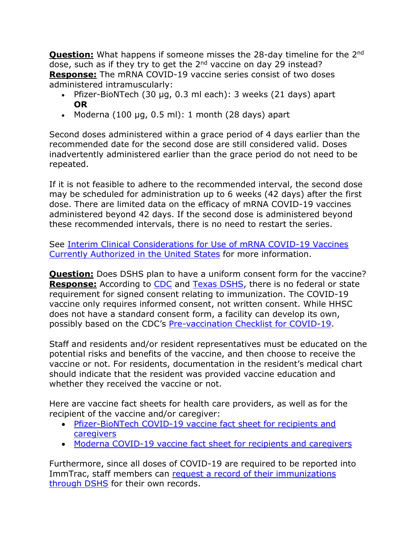<span id="page-12-0"></span>**Question:** What happens if someone misses the 28-day timeline for the 2<sup>nd</sup> dose, such as if they try to get the 2<sup>nd</sup> vaccine on day 29 instead? **Response:** The mRNA COVID-19 vaccine series consist of two doses administered intramuscularly:

- Pfizer-BioNTech (30 µg, 0.3 ml each): 3 weeks (21 days) apart **OR**
- Moderna  $(100 \mu g, 0.5 \text{ ml})$ : 1 month  $(28 \text{ days})$  apart

Second doses administered within a grace period of 4 days earlier than the recommended date for the second dose are still considered valid. Doses inadvertently administered earlier than the grace period do not need to be repeated.

If it is not feasible to adhere to the recommended interval, the second dose may be scheduled for administration up to 6 weeks (42 days) after the first dose. There are limited data on the efficacy of mRNA COVID-19 vaccines administered beyond 42 days. If the second dose is administered beyond these recommended intervals, there is no need to restart the series.

See [Interim Clinical Considerations for Use of mRNA COVID-19 Vaccines](https://www.cdc.gov/vaccines/covid-19/info-by-product/clinical-considerations.html)  [Currently Authorized in the United States](https://www.cdc.gov/vaccines/covid-19/info-by-product/clinical-considerations.html) for more information.

<span id="page-12-1"></span>**Question:** Does DSHS plan to have a uniform consent form for the vaccine? **Response:** According to [CDC](https://www.cdc.gov/vaccines/imz-managers/laws/index.html) and [Texas DSHS,](https://www.dshs.texas.gov/immunize/) there is no federal or state requirement for signed consent relating to immunization. The COVID-19 vaccine only requires informed consent, not written consent. While HHSC does not have a standard consent form, a facility can develop its own, possibly based on the CDC's [Pre-vaccination Checklist for COVID-19.](https://www.cdc.gov/vaccines/covid-19/downloads/pre-vaccination-screening-form.pdf)

Staff and residents and/or resident representatives must be educated on the potential risks and benefits of the vaccine, and then choose to receive the vaccine or not. For residents, documentation in the resident's medical chart should indicate that the resident was provided vaccine education and whether they received the vaccine or not.

Here are vaccine fact sheets for health care providers, as well as for the recipient of the vaccine and/or caregiver:

- [Pfizer-BioNTech COVID-19 vaccine fact sheet for recipients and](https://www.fda.gov/media/144414/download)  [caregivers](https://www.fda.gov/media/144414/download)
- [Moderna COVID-19 vaccine fact sheet for recipients and](https://www.fda.gov/media/144638/download) caregivers

Furthermore, since all doses of COVID-19 are required to be reported into ImmTrac, staff members can request a record of their immunizations [through DSHS](https://www.dshs.texas.gov/immunize/immunization-records.aspx#:%7E:text=ImmTrac2%2C%20the%20Texas%20Immunization%20Registry&text=Only%20doctors%2C%20schools%2C%20child%2D,including%20parents%20or%20legal%20guardians.) for their own records.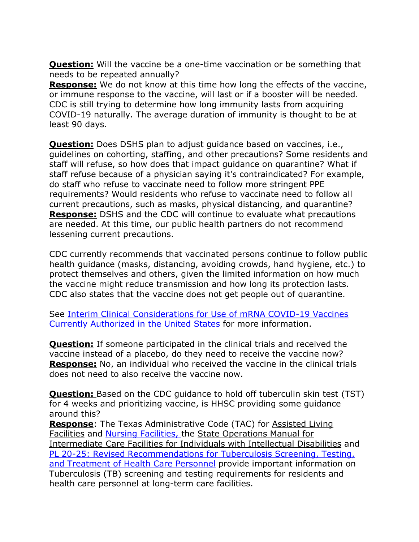<span id="page-13-0"></span>**Question:** Will the vaccine be a one-time vaccination or be something that needs to be repeated annually?

**Response:** We do not know at this time how long the effects of the vaccine, or immune response to the vaccine, will last or if a booster will be needed. CDC is still trying to determine how long immunity lasts from acquiring COVID-19 naturally. The average duration of immunity is thought to be at least 90 days.

<span id="page-13-1"></span>**Question:** Does DSHS plan to adjust guidance based on vaccines, i.e., guidelines on cohorting, staffing, and other precautions? Some residents and staff will refuse, so how does that impact guidance on quarantine? What if staff refuse because of a physician saying it's contraindicated? For example, do staff who refuse to vaccinate need to follow more stringent PPE requirements? Would residents who refuse to vaccinate need to follow all current precautions, such as masks, physical distancing, and quarantine? **Response:** DSHS and the CDC will continue to evaluate what precautions are needed. At this time, our public health partners do not recommend lessening current precautions.

CDC currently recommends that vaccinated persons continue to follow public health guidance (masks, distancing, avoiding crowds, hand hygiene, etc.) to protect themselves and others, given the limited information on how much the vaccine might reduce transmission and how long its protection lasts. CDC also states that the vaccine does not get people out of quarantine.

See [Interim Clinical Considerations for Use of mRNA COVID-19 Vaccines](https://www.cdc.gov/vaccines/covid-19/info-by-product/clinical-considerations.html)  [Currently Authorized in the United States](https://www.cdc.gov/vaccines/covid-19/info-by-product/clinical-considerations.html) for more information.

<span id="page-13-2"></span>**Question:** If someone participated in the clinical trials and received the vaccine instead of a placebo, do they need to receive the vaccine now? **Response:** No, an individual who received the vaccine in the clinical trials does not need to also receive the vaccine now.

<span id="page-13-3"></span>**Question:** Based on the CDC quidance to hold off tuberculin skin test (TST) for 4 weeks and prioritizing vaccine, is HHSC providing some guidance around this?

**Response**: The Texas Administrative Code (TAC) for [Assisted Living](https://texreg.sos.state.tx.us/public/readtac$ext.TacPage?sl=T&app=9&p_dir=F&p_rloc=194901&p_tloc=44586&p_ploc=29602&pg=4&p_tac=&ti=26&pt=1&ch=553&rl=41)  [Facilities](https://texreg.sos.state.tx.us/public/readtac$ext.TacPage?sl=T&app=9&p_dir=F&p_rloc=194901&p_tloc=44586&p_ploc=29602&pg=4&p_tac=&ti=26&pt=1&ch=553&rl=41) and [Nursing Facilities,](https://texreg.sos.state.tx.us/public/readtac$ext.TacPage?sl=R&app=9&p_dir=&p_rloc=&p_tloc=&p_ploc=&pg=1&p_tac=&ti=26&pt=1&ch=554&rl=1601) the [State Operations Manual for](https://www.cms.gov/Regulations-and-Guidance/Guidance/Manuals/downloads/som107ap_j_intermcare.pdf)  [Intermediate Care Facilities for Individuals with Intellectual Disabilities](https://www.cms.gov/Regulations-and-Guidance/Guidance/Manuals/downloads/som107ap_j_intermcare.pdf) and [PL 20-25: Revised Recommendations for Tuberculosis Screening, Testing,](https://apps.hhs.texas.gov/providers/communications/2020/letters/PL2020-25.pdf)  [and Treatment of Health Care Personnel](https://apps.hhs.texas.gov/providers/communications/2020/letters/PL2020-25.pdf) provide important information on Tuberculosis (TB) screening and testing requirements for residents and health care personnel at long-term care facilities.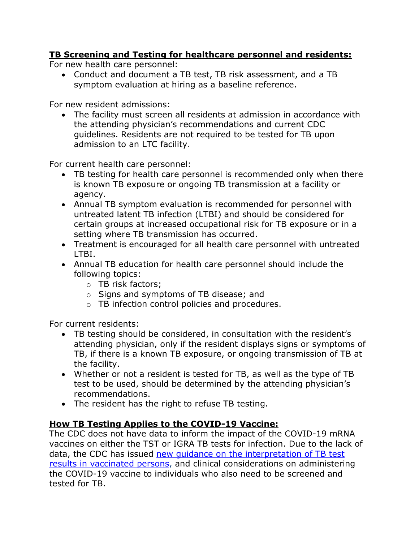#### **TB Screening and Testing for healthcare personnel and residents:**

For new health care personnel:

• Conduct and document a TB test, TB risk assessment, and a TB symptom evaluation at hiring as a baseline reference.

For new resident admissions:

• The facility must screen all residents at admission in accordance with the attending physician's recommendations and current CDC guidelines. Residents are not required to be tested for TB upon admission to an LTC facility.

For current health care personnel:

- TB testing for health care personnel is recommended only when there is known TB exposure or ongoing TB transmission at a facility or agency.
- Annual TB symptom evaluation is recommended for personnel with untreated latent TB infection (LTBI) and should be considered for certain groups at increased occupational risk for TB exposure or in a setting where TB transmission has occurred.
- Treatment is encouraged for all health care personnel with untreated LTBI.
- Annual TB education for health care personnel should include the following topics:
	- o TB risk factors;
	- o Signs and symptoms of TB disease; and
	- o TB infection control policies and procedures.

For current residents:

- TB testing should be considered, in consultation with the resident's attending physician, only if the resident displays signs or symptoms of TB, if there is a known TB exposure, or ongoing transmission of TB at the facility.
- Whether or not a resident is tested for TB, as well as the type of TB test to be used, should be determined by the attending physician's recommendations.
- The resident has the right to refuse TB testing.

#### **How TB Testing Applies to the COVID-19 Vaccine:**

The CDC does not have data to inform the impact of the COVID-19 mRNA vaccines on either the TST or IGRA TB tests for infection. Due to the lack of data, the CDC has issued [new guidance on the interpretation of TB test](https://www.cdc.gov/vaccines/covid-19/info-by-product/clinical-considerations.html)  [results in vaccinated persons,](https://www.cdc.gov/vaccines/covid-19/info-by-product/clinical-considerations.html) and clinical considerations on administering the COVID-19 vaccine to individuals who also need to be screened and tested for TB.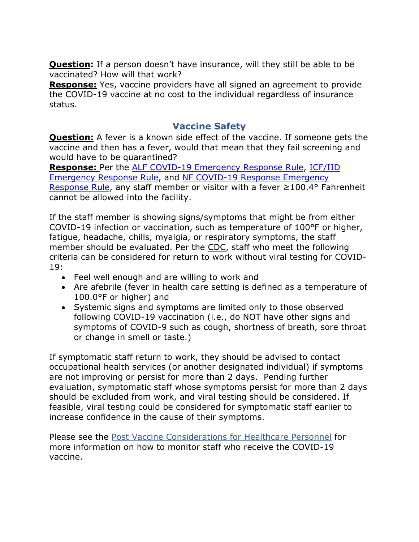<span id="page-15-0"></span>**Question:** If a person doesn't have insurance, will they still be able to be vaccinated? How will that work?

**Response:** Yes, vaccine providers have all signed an agreement to provide the COVID-19 vaccine at no cost to the individual regardless of insurance status.

#### **Vaccine Safety**

<span id="page-15-2"></span><span id="page-15-1"></span>**Question:** A fever is a known side effect of the vaccine. If someone gets the vaccine and then has a fever, would that mean that they fail screening and would have to be quarantined?

**Response:** Per the [ALF COVID-19 Emergency Response Rule,](https://hhs.texas.gov/sites/default/files/documents/doing-business-with-hhs/provider-portal/long-term-care/alf-covid-19-response-emergency-rule.pdf) [ICF/IID](https://hhs.texas.gov/sites/default/files/documents/doing-business-with-hhs/providers/long-term-care/icf/icf-covid-19-response-emergency-rule.pdf)  [Emergency Response Rule,](https://hhs.texas.gov/sites/default/files/documents/doing-business-with-hhs/providers/long-term-care/icf/icf-covid-19-response-emergency-rule.pdf) and [NF COVID-19 Response Emergency](https://hhs.texas.gov/sites/default/files/documents/doing-business-with-hhs/provider-portal/long-term-care/nf/nursing-facility-covid-19-response-emergency-rule.pdf)  [Response Rule](https://hhs.texas.gov/sites/default/files/documents/doing-business-with-hhs/provider-portal/long-term-care/nf/nursing-facility-covid-19-response-emergency-rule.pdf), any staff member or visitor with a fever ≥100.4° Fahrenheit cannot be allowed into the facility.

If the staff member is showing signs/symptoms that might be from either COVID-19 infection or vaccination, such as temperature of 100°F or higher, fatigue, headache, chills, myalgia, or respiratory symptoms, the staff member should be evaluated. Per the [CDC,](https://www.cdc.gov/coronavirus/2019-ncov/hcp/post-vaccine-considerations-healthcare-personnel.html) staff who meet the following criteria can be considered for return to work without viral testing for COVID-19:

- Feel well enough and are willing to work and
- Are afebrile (fever in health care setting is defined as a temperature of 100.0°F or higher) and
- Systemic signs and symptoms are limited only to those observed following COVID-19 vaccination (i.e., do NOT have other signs and symptoms of COVID-9 such as cough, shortness of breath, sore throat or change in smell or taste.)

If symptomatic staff return to work, they should be advised to contact occupational health services (or another designated individual) if symptoms are not improving or persist for more than 2 days. Pending further evaluation, symptomatic staff whose symptoms persist for more than 2 days should be excluded from work, and viral testing should be considered. If feasible, viral testing could be considered for symptomatic staff earlier to increase confidence in the cause of their symptoms.

Please see the [Post Vaccine Considerations for Healthcare Personnel](https://www.cdc.gov/coronavirus/2019-ncov/hcp/post-vaccine-considerations-healthcare-personnel.html) for more information on how to monitor staff who receive the COVID-19 vaccine.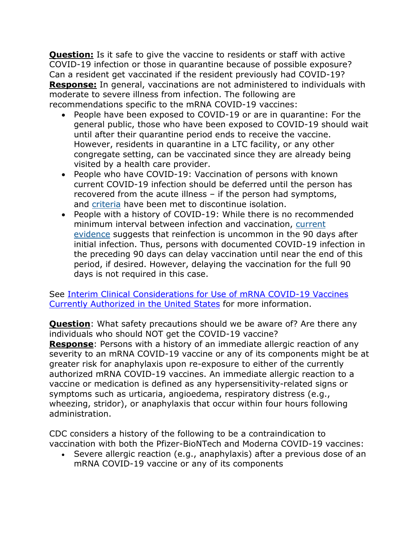<span id="page-16-0"></span>**Question:** Is it safe to give the vaccine to residents or staff with active COVID-19 infection or those in quarantine because of possible exposure? Can a resident get vaccinated if the resident previously had COVID-19? **Response:** In general, vaccinations are not administered to individuals with moderate to severe illness from infection. The following are recommendations specific to the mRNA COVID-19 vaccines:

- People have been exposed to COVID-19 or are in quarantine: For the general public, those who have been exposed to COVID-19 should wait until after their quarantine period ends to receive the vaccine. However, residents in quarantine in a LTC facility, or any other congregate setting, can be vaccinated since they are already being visited by a health care provider.
- People who have COVID-19: Vaccination of persons with known current COVID-19 infection should be deferred until the person has recovered from the acute illness – if the person had symptoms, and [criteria](https://www.cdc.gov/coronavirus/2019-ncov/hcp/disposition-in-home-patients.html) have been met to discontinue isolation.
- People with a history of COVID-19: While there is no recommended minimum interval between infection and vaccination, [current](https://www.cdc.gov/coronavirus/2019-ncov/hcp/duration-isolation.html)  [evidence](https://www.cdc.gov/coronavirus/2019-ncov/hcp/duration-isolation.html) suggests that reinfection is uncommon in the 90 days after initial infection. Thus, persons with documented COVID-19 infection in the preceding 90 days can delay vaccination until near the end of this period, if desired. However, delaying the vaccination for the full 90 days is not required in this case.

See [Interim Clinical Considerations for Use of mRNA COVID-19 Vaccines](https://www.cdc.gov/vaccines/covid-19/info-by-product/clinical-considerations.html)  [Currently Authorized in the United States](https://www.cdc.gov/vaccines/covid-19/info-by-product/clinical-considerations.html) for more information.

<span id="page-16-1"></span>**Question:** What safety precautions should we be aware of? Are there any individuals who should NOT get the COVID-19 vaccine?

**Response**: Persons with a history of an immediate allergic reaction of any severity to an mRNA COVID-19 vaccine or any of its components might be at greater risk for anaphylaxis upon re-exposure to either of the currently authorized mRNA COVID-19 vaccines. An immediate allergic reaction to a vaccine or medication is defined as any hypersensitivity-related signs or symptoms such as urticaria, angioedema, respiratory distress (e.g., wheezing, stridor), or anaphylaxis that occur within four hours following administration.

CDC considers a history of the following to be a contraindication to vaccination with both the Pfizer-BioNTech and Moderna COVID-19 vaccines:

• Severe allergic reaction (e.g., anaphylaxis) after a previous dose of an mRNA COVID-19 vaccine or any of its components